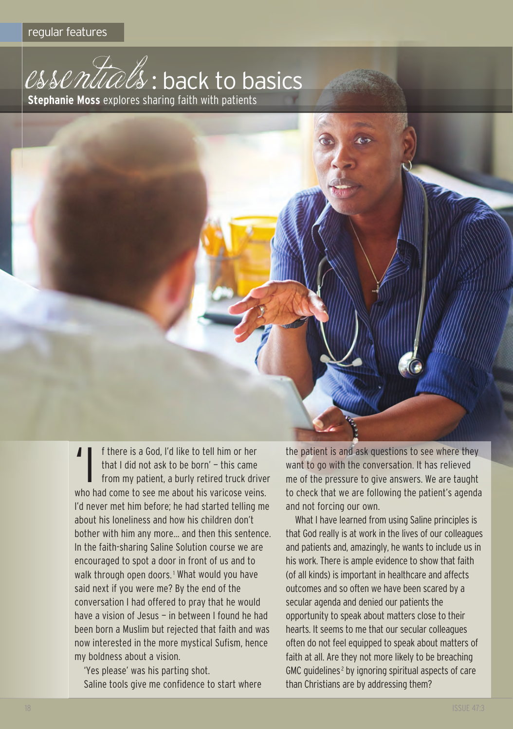

I f there is a God, I'd like to tell him or her<br>
that I did not ask to be born' – this came<br>
from my patient, a burly retired truck dri that I did not ask to be born' — this came from my patient, a burly retired truck driver who had come to see me about his varicose veins. I'd never met him before; he had started telling me about his loneliness and how his children don't bother with him any more… and then this sentence. In the faith-sharing Saline Solution course we are encouraged to spot a door in front of us and to walk through open doors.<sup>1</sup> What would you have said next if you were me? By the end of the conversation I had offered to pray that he would have a vision of Jesus - in between I found he had been born a Muslim but rejected that faith and was now interested in the more mystical Sufism, hence my boldness about a vision.

'Yes please' was his parting shot. Saline tools give me confidence to start where the patient is and ask questions to see where they want to go with the conversation. It has relieved me of the pressure to give answers. We are taught to check that we are following the patient's agenda and not forcing our own.

What I have learned from using Saline principles is that god really is at work in the lives of our colleagues and patients and, amazingly, he wants to include us in his work. There is ample evidence to show that faith (of all kinds) is important in healthcare and affects outcomes and so often we have been scared by a secular agenda and denied our patients the opportunity to speak about matters close to their hearts. It seems to me that our secular colleagues often do not feel equipped to speak about matters of faith at all. Are they not more likely to be breaching GMC guidelines<sup>2</sup> by ignoring spiritual aspects of care than christians are by addressing them?